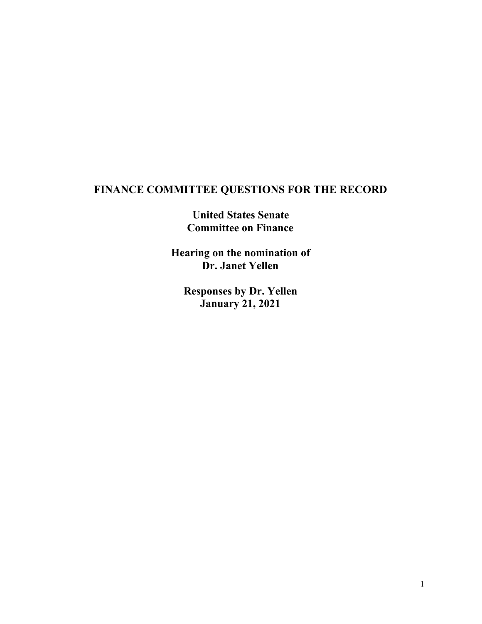## **FINANCE COMMITTEE QUESTIONS FOR THE RECORD**

**United States Senate Committee on Finance**

**Hearing on the nomination of Dr. Janet Yellen**

**Responses by Dr. Yellen January 21, 2021**